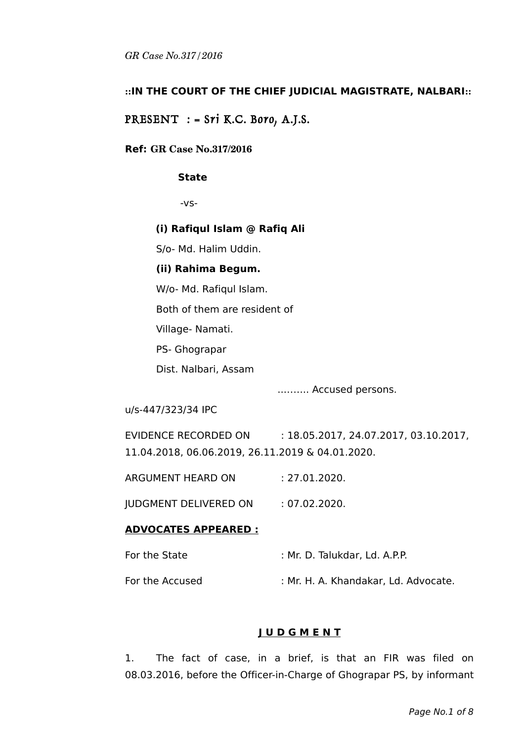### **::IN THE COURT OF THE CHIEF JUDICIAL MAGISTRATE, NALBARI::**

PRESENT  $:$  = Sri K.C. Boro, A.J.S.

#### **Ref: GR Case No.317/2016**

#### **State**

-vs-

#### **(i) Rafiqul Islam @ Rafiq Ali**

S/o- Md. Halim Uddin.

#### **(ii) Rahima Begum.**

W/o- Md. Rafiqul Islam.

Both of them are resident of

Village- Namati.

PS- Ghograpar

Dist. Nalbari, Assam

..…….. Accused persons.

u/s-447/323/34 IPC

EVIDENCE RECORDED ON : 18.05.2017, 24.07.2017, 03.10.2017, 11.04.2018, 06.06.2019, 26.11.2019 & 04.01.2020.

ARGUMENT HEARD ON : 27.01.2020.

JUDGMENT DELIVERED ON : 07.02.2020.

#### **ADVOCATES APPEARED :**

| For the State   | : Mr. D. Talukdar, Ld. A.P.P.        |
|-----------------|--------------------------------------|
| For the Accused | : Mr. H. A. Khandakar, Ld. Advocate. |

## **J U D G M E N T**

1. The fact of case, in a brief, is that an FIR was filed on 08.03.2016, before the Officer-in-Charge of Ghograpar PS, by informant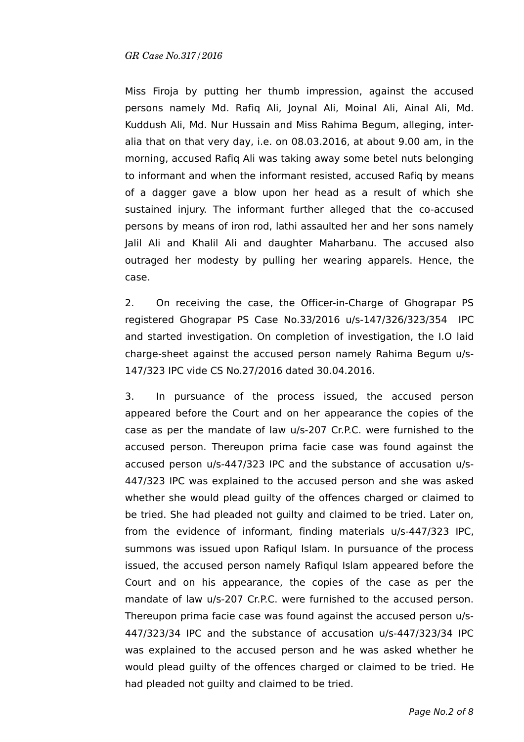Miss Firoja by putting her thumb impression, against the accused persons namely Md. Rafiq Ali, Joynal Ali, Moinal Ali, Ainal Ali, Md. Kuddush Ali, Md. Nur Hussain and Miss Rahima Begum, alleging, interalia that on that very day, i.e. on 08.03.2016, at about 9.00 am, in the morning, accused Rafiq Ali was taking away some betel nuts belonging to informant and when the informant resisted, accused Rafiq by means of a dagger gave a blow upon her head as a result of which she sustained injury. The informant further alleged that the co-accused persons by means of iron rod, lathi assaulted her and her sons namely Jalil Ali and Khalil Ali and daughter Maharbanu. The accused also outraged her modesty by pulling her wearing apparels. Hence, the case.

2. On receiving the case, the Officer-in-Charge of Ghograpar PS registered Ghograpar PS Case No.33/2016 u/s-147/326/323/354 IPC and started investigation. On completion of investigation, the I.O laid charge-sheet against the accused person namely Rahima Begum u/s-147/323 IPC vide CS No.27/2016 dated 30.04.2016.

3. In pursuance of the process issued, the accused person appeared before the Court and on her appearance the copies of the case as per the mandate of law u/s-207 Cr.P.C. were furnished to the accused person. Thereupon prima facie case was found against the accused person u/s-447/323 IPC and the substance of accusation u/s-447/323 IPC was explained to the accused person and she was asked whether she would plead guilty of the offences charged or claimed to be tried. She had pleaded not guilty and claimed to be tried. Later on, from the evidence of informant, finding materials u/s-447/323 IPC, summons was issued upon Rafiqul Islam. In pursuance of the process issued, the accused person namely Rafiqul Islam appeared before the Court and on his appearance, the copies of the case as per the mandate of law u/s-207 Cr.P.C. were furnished to the accused person. Thereupon prima facie case was found against the accused person u/s-447/323/34 IPC and the substance of accusation u/s-447/323/34 IPC was explained to the accused person and he was asked whether he would plead guilty of the offences charged or claimed to be tried. He had pleaded not guilty and claimed to be tried.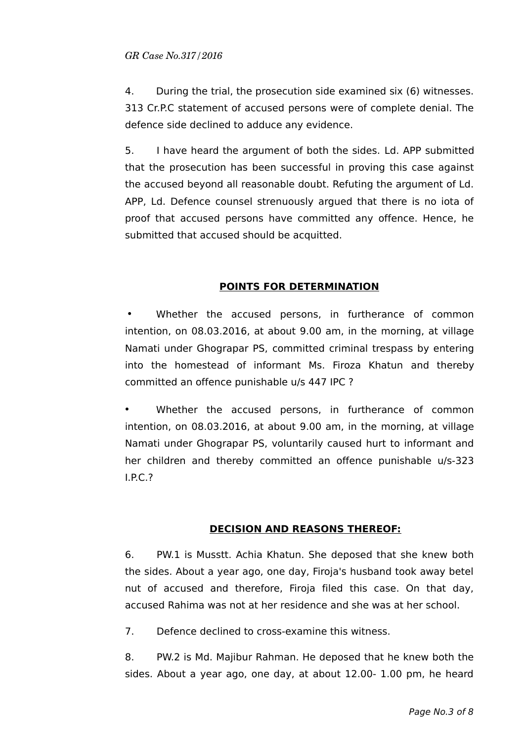4. During the trial, the prosecution side examined six (6) witnesses. 313 Cr.P.C statement of accused persons were of complete denial. The defence side declined to adduce any evidence.

5. I have heard the argument of both the sides. Ld. APP submitted that the prosecution has been successful in proving this case against the accused beyond all reasonable doubt. Refuting the argument of Ld. APP, Ld. Defence counsel strenuously argued that there is no iota of proof that accused persons have committed any offence. Hence, he submitted that accused should be acquitted.

### **POINTS FOR DETERMINATION**

Whether the accused persons, in furtherance of common intention, on 08.03.2016, at about 9.00 am, in the morning, at village Namati under Ghograpar PS, committed criminal trespass by entering into the homestead of informant Ms. Firoza Khatun and thereby committed an offence punishable u/s 447 IPC ?

Whether the accused persons, in furtherance of common intention, on 08.03.2016, at about 9.00 am, in the morning, at village Namati under Ghograpar PS, voluntarily caused hurt to informant and her children and thereby committed an offence punishable u/s-323 I.P.C.?

### **DECISION AND REASONS THEREOF:**

6. PW.1 is Musstt. Achia Khatun. She deposed that she knew both the sides. About a year ago, one day, Firoja's husband took away betel nut of accused and therefore, Firoja filed this case. On that day, accused Rahima was not at her residence and she was at her school.

7. Defence declined to cross-examine this witness.

8. PW.2 is Md. Majibur Rahman. He deposed that he knew both the sides. About a year ago, one day, at about 12.00- 1.00 pm, he heard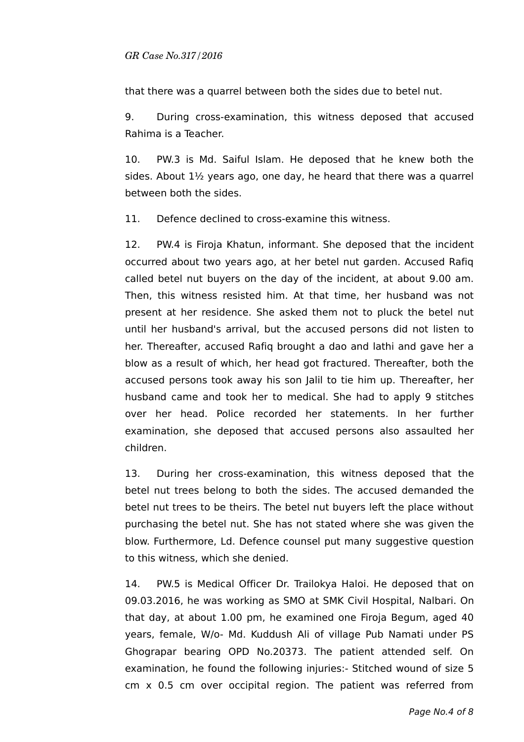that there was a quarrel between both the sides due to betel nut.

9. During cross-examination, this witness deposed that accused Rahima is a Teacher.

10. PW.3 is Md. Saiful Islam. He deposed that he knew both the sides. About 1½ years ago, one day, he heard that there was a quarrel between both the sides.

11. Defence declined to cross-examine this witness.

12. PW.4 is Firoja Khatun, informant. She deposed that the incident occurred about two years ago, at her betel nut garden. Accused Rafiq called betel nut buyers on the day of the incident, at about 9.00 am. Then, this witness resisted him. At that time, her husband was not present at her residence. She asked them not to pluck the betel nut until her husband's arrival, but the accused persons did not listen to her. Thereafter, accused Rafiq brought a dao and lathi and gave her a blow as a result of which, her head got fractured. Thereafter, both the accused persons took away his son Jalil to tie him up. Thereafter, her husband came and took her to medical. She had to apply 9 stitches over her head. Police recorded her statements. In her further examination, she deposed that accused persons also assaulted her children.

13. During her cross-examination, this witness deposed that the betel nut trees belong to both the sides. The accused demanded the betel nut trees to be theirs. The betel nut buyers left the place without purchasing the betel nut. She has not stated where she was given the blow. Furthermore, Ld. Defence counsel put many suggestive question to this witness, which she denied.

14. PW.5 is Medical Officer Dr. Trailokya Haloi. He deposed that on 09.03.2016, he was working as SMO at SMK Civil Hospital, Nalbari. On that day, at about 1.00 pm, he examined one Firoja Begum, aged 40 years, female, W/o- Md. Kuddush Ali of village Pub Namati under PS Ghograpar bearing OPD No.20373. The patient attended self. On examination, he found the following injuries:- Stitched wound of size 5 cm x 0.5 cm over occipital region. The patient was referred from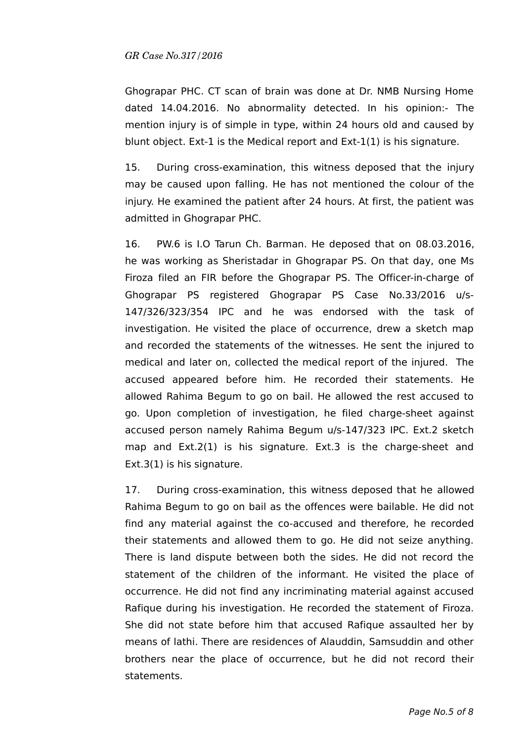Ghograpar PHC. CT scan of brain was done at Dr. NMB Nursing Home dated 14.04.2016. No abnormality detected. In his opinion:- The mention injury is of simple in type, within 24 hours old and caused by blunt object. Ext-1 is the Medical report and Ext-1(1) is his signature.

15. During cross-examination, this witness deposed that the injury may be caused upon falling. He has not mentioned the colour of the injury. He examined the patient after 24 hours. At first, the patient was admitted in Ghograpar PHC.

16. PW.6 is I.O Tarun Ch. Barman. He deposed that on 08.03.2016, he was working as Sheristadar in Ghograpar PS. On that day, one Ms Firoza filed an FIR before the Ghograpar PS. The Officer-in-charge of Ghograpar PS registered Ghograpar PS Case No.33/2016 u/s-147/326/323/354 IPC and he was endorsed with the task of investigation. He visited the place of occurrence, drew a sketch map and recorded the statements of the witnesses. He sent the injured to medical and later on, collected the medical report of the injured. The accused appeared before him. He recorded their statements. He allowed Rahima Begum to go on bail. He allowed the rest accused to go. Upon completion of investigation, he filed charge-sheet against accused person namely Rahima Begum u/s-147/323 IPC. Ext.2 sketch map and Ext.2(1) is his signature. Ext.3 is the charge-sheet and Ext.3(1) is his signature.

17. During cross-examination, this witness deposed that he allowed Rahima Begum to go on bail as the offences were bailable. He did not find any material against the co-accused and therefore, he recorded their statements and allowed them to go. He did not seize anything. There is land dispute between both the sides. He did not record the statement of the children of the informant. He visited the place of occurrence. He did not find any incriminating material against accused Rafique during his investigation. He recorded the statement of Firoza. She did not state before him that accused Rafique assaulted her by means of lathi. There are residences of Alauddin, Samsuddin and other brothers near the place of occurrence, but he did not record their statements.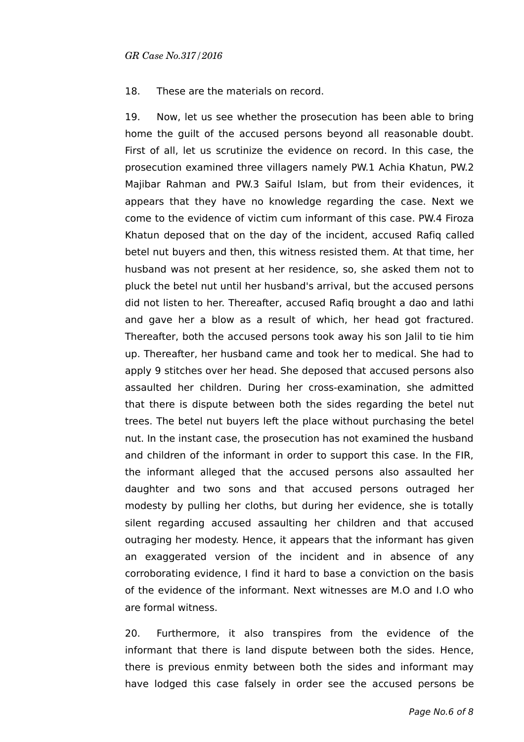18. These are the materials on record.

19. Now, let us see whether the prosecution has been able to bring home the guilt of the accused persons beyond all reasonable doubt. First of all, let us scrutinize the evidence on record. In this case, the prosecution examined three villagers namely PW.1 Achia Khatun, PW.2 Majibar Rahman and PW.3 Saiful Islam, but from their evidences, it appears that they have no knowledge regarding the case. Next we come to the evidence of victim cum informant of this case. PW.4 Firoza Khatun deposed that on the day of the incident, accused Rafiq called betel nut buyers and then, this witness resisted them. At that time, her husband was not present at her residence, so, she asked them not to pluck the betel nut until her husband's arrival, but the accused persons did not listen to her. Thereafter, accused Rafiq brought a dao and lathi and gave her a blow as a result of which, her head got fractured. Thereafter, both the accused persons took away his son Jalil to tie him up. Thereafter, her husband came and took her to medical. She had to apply 9 stitches over her head. She deposed that accused persons also assaulted her children. During her cross-examination, she admitted that there is dispute between both the sides regarding the betel nut trees. The betel nut buyers left the place without purchasing the betel nut. In the instant case, the prosecution has not examined the husband and children of the informant in order to support this case. In the FIR, the informant alleged that the accused persons also assaulted her daughter and two sons and that accused persons outraged her modesty by pulling her cloths, but during her evidence, she is totally silent regarding accused assaulting her children and that accused outraging her modesty. Hence, it appears that the informant has given an exaggerated version of the incident and in absence of any corroborating evidence, I find it hard to base a conviction on the basis of the evidence of the informant. Next witnesses are M.O and I.O who are formal witness.

20. Furthermore, it also transpires from the evidence of the informant that there is land dispute between both the sides. Hence, there is previous enmity between both the sides and informant may have lodged this case falsely in order see the accused persons be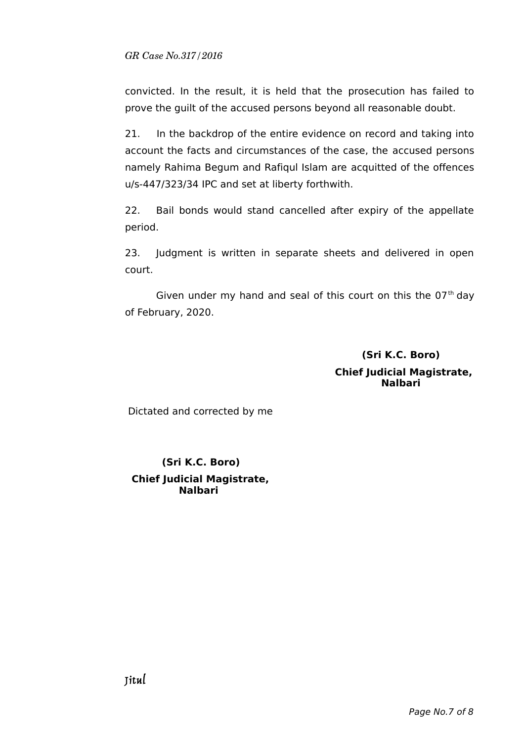convicted. In the result, it is held that the prosecution has failed to prove the guilt of the accused persons beyond all reasonable doubt.

21. In the backdrop of the entire evidence on record and taking into account the facts and circumstances of the case, the accused persons namely Rahima Begum and Rafiqul Islam are acquitted of the offences u/s-447/323/34 IPC and set at liberty forthwith.

22. Bail bonds would stand cancelled after expiry of the appellate period.

23. Judgment is written in separate sheets and delivered in open court.

Given under my hand and seal of this court on this the  $07<sup>th</sup>$  day of February, 2020.

# **(Sri K.C. Boro) Chief Judicial Magistrate, Nalbari**

Dictated and corrected by me

# **(Sri K.C. Boro) Chief Judicial Magistrate, Nalbari**